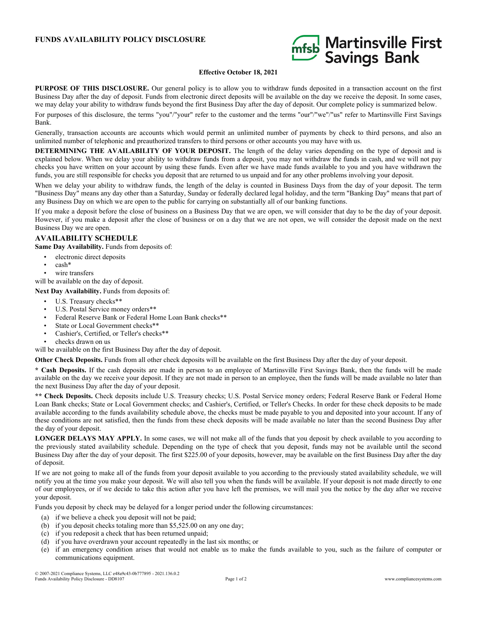## **FUNDS AVAILABILITY POLICY DISCLOSURE**



## **Effective October 18, 2021**

**PURPOSE OF THIS DISCLOSURE.** Our general policy is to allow you to withdraw funds deposited in a transaction account on the first Business Day after the day of deposit. Funds from electronic direct deposits will be available on the day we receive the deposit. In some cases, we may delay your ability to withdraw funds beyond the first Business Day after the day of deposit. Our complete policy is summarized below.

For purposes of this disclosure, the terms "you"/"your" refer to the customer and the terms "our"/"we"/"us" refer to Martinsville First Savings Bank.

Generally, transaction accounts are accounts which would permit an unlimited number of payments by check to third persons, and also an unlimited number of telephonic and preauthorized transfers to third persons or other accounts you may have with us.

**DETERMINING THE AVAILABILITY OF YOUR DEPOSIT.** The length of the delay varies depending on the type of deposit and is explained below. When we delay your ability to withdraw funds from a deposit, you may not withdraw the funds in cash, and we will not pay checks you have written on your account by using these funds. Even after we have made funds available to you and you have withdrawn the funds, you are still responsible for checks you deposit that are returned to us unpaid and for any other problems involving your deposit.

When we delay your ability to withdraw funds, the length of the delay is counted in Business Days from the day of your deposit. The term "Business Day" means any day other than a Saturday, Sunday or federally declared legal holiday, and the term "Banking Day" means that part of any Business Day on which we are open to the public for carrying on substantially all of our banking functions.

If you make a deposit before the close of business on a Business Day that we are open, we will consider that day to be the day of your deposit. However, if you make a deposit after the close of business or on a day that we are not open, we will consider the deposit made on the next Business Day we are open.

## **AVAILABILITY SCHEDULE**

**Same Day Availability.** Funds from deposits of:

- electronic direct deposits
- cash\*
- wire transfers
- will be available on the day of deposit.

**Next Day Availability.** Funds from deposits of:

- U.S. Treasury checks\*\*
- U.S. Postal Service money orders\*\*
- Federal Reserve Bank or Federal Home Loan Bank checks\*\*
- State or Local Government checks\*\*
- Cashier's, Certified, or Teller's checks\*\*
- checks drawn on us

will be available on the first Business Day after the day of deposit.

**Other Check Deposits.** Funds from all other check deposits will be available on the first Business Day after the day of your deposit.

**\* Cash Deposits.** If the cash deposits are made in person to an employee of Martinsville First Savings Bank, then the funds will be made available on the day we receive your deposit. If they are not made in person to an employee, then the funds will be made available no later than the next Business Day after the day of your deposit.

**\*\* Check Deposits.** Check deposits include U.S. Treasury checks; U.S. Postal Service money orders; Federal Reserve Bank or Federal Home Loan Bank checks; State or Local Government checks; and Cashier's, Certified, or Teller's Checks. In order for these check deposits to be made available according to the funds availability schedule above, the checks must be made payable to you and deposited into your account. If any of these conditions are not satisfied, then the funds from these check deposits will be made available no later than the second Business Day after the day of your deposit.

**LONGER DELAYS MAY APPLY.** In some cases, we will not make all of the funds that you deposit by check available to you according to the previously stated availability schedule. Depending on the type of check that you deposit, funds may not be available until the second Business Day after the day of your deposit. The first \$225.00 of your deposits, however, may be available on the first Business Day after the day of deposit.

If we are not going to make all of the funds from your deposit available to you according to the previously stated availability schedule, we will notify you at the time you make your deposit. We will also tell you when the funds will be available. If your deposit is not made directly to one of our employees, or if we decide to take this action after you have left the premises, we will mail you the notice by the day after we receive your deposit.

Funds you deposit by check may be delayed for a longer period under the following circumstances:

- (a) if we believe a check you deposit will not be paid;
- (b) if you deposit checks totaling more than \$5,525.00 on any one day;
- (c) if you redeposit a check that has been returned unpaid;
- (d) if you have overdrawn your account repeatedly in the last six months; or
- (e) if an emergency condition arises that would not enable us to make the funds available to you, such as the failure of computer or communications equipment.